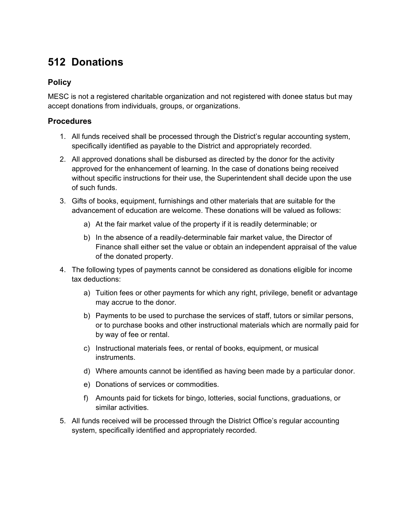## **512 Donations**

## **Policy**

MESC is not a registered charitable organization and not registered with donee status but may accept donations from individuals, groups, or organizations.

## **Procedures**

- 1. All funds received shall be processed through the District's regular accounting system, specifically identified as payable to the District and appropriately recorded.
- 2. All approved donations shall be disbursed as directed by the donor for the activity approved for the enhancement of learning. In the case of donations being received without specific instructions for their use, the Superintendent shall decide upon the use of such funds.
- 3. Gifts of books, equipment, furnishings and other materials that are suitable for the advancement of education are welcome. These donations will be valued as follows:
	- a) At the fair market value of the property if it is readily determinable; or
	- b) In the absence of a readily-determinable fair market value, the Director of Finance shall either set the value or obtain an independent appraisal of the value of the donated property.
- 4. The following types of payments cannot be considered as donations eligible for income tax deductions:
	- a) Tuition fees or other payments for which any right, privilege, benefit or advantage may accrue to the donor.
	- b) Payments to be used to purchase the services of staff, tutors or similar persons, or to purchase books and other instructional materials which are normally paid for by way of fee or rental.
	- c) Instructional materials fees, or rental of books, equipment, or musical instruments.
	- d) Where amounts cannot be identified as having been made by a particular donor.
	- e) Donations of services or commodities.
	- f) Amounts paid for tickets for bingo, lotteries, social functions, graduations, or similar activities.
- 5. All funds received will be processed through the District Office's regular accounting system, specifically identified and appropriately recorded.